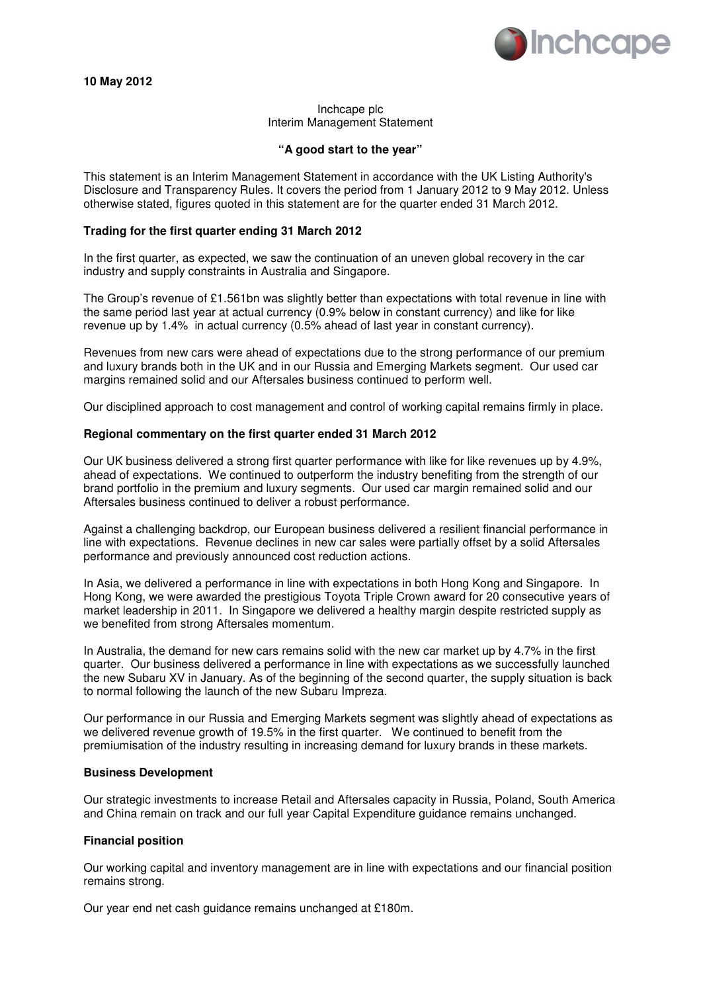

# Inchcape plc Interim Management Statement

## **"A good start to the year"**

This statement is an Interim Management Statement in accordance with the UK Listing Authority's Disclosure and Transparency Rules. It covers the period from 1 January 2012 to 9 May 2012. Unless otherwise stated, figures quoted in this statement are for the quarter ended 31 March 2012.

## **Trading for the first quarter ending 31 March 2012**

In the first quarter, as expected, we saw the continuation of an uneven global recovery in the car industry and supply constraints in Australia and Singapore.

The Group's revenue of £1.561bn was slightly better than expectations with total revenue in line with the same period last year at actual currency (0.9% below in constant currency) and like for like revenue up by 1.4% in actual currency (0.5% ahead of last year in constant currency).

Revenues from new cars were ahead of expectations due to the strong performance of our premium and luxury brands both in the UK and in our Russia and Emerging Markets segment. Our used car margins remained solid and our Aftersales business continued to perform well.

Our disciplined approach to cost management and control of working capital remains firmly in place.

## **Regional commentary on the first quarter ended 31 March 2012**

Our UK business delivered a strong first quarter performance with like for like revenues up by 4.9%, ahead of expectations. We continued to outperform the industry benefiting from the strength of our brand portfolio in the premium and luxury segments. Our used car margin remained solid and our Aftersales business continued to deliver a robust performance.

Against a challenging backdrop, our European business delivered a resilient financial performance in line with expectations. Revenue declines in new car sales were partially offset by a solid Aftersales performance and previously announced cost reduction actions.

In Asia, we delivered a performance in line with expectations in both Hong Kong and Singapore. In Hong Kong, we were awarded the prestigious Toyota Triple Crown award for 20 consecutive years of market leadership in 2011. In Singapore we delivered a healthy margin despite restricted supply as we benefited from strong Aftersales momentum.

In Australia, the demand for new cars remains solid with the new car market up by 4.7% in the first quarter. Our business delivered a performance in line with expectations as we successfully launched the new Subaru XV in January. As of the beginning of the second quarter, the supply situation is back to normal following the launch of the new Subaru Impreza.

Our performance in our Russia and Emerging Markets segment was slightly ahead of expectations as we delivered revenue growth of 19.5% in the first quarter. We continued to benefit from the premiumisation of the industry resulting in increasing demand for luxury brands in these markets.

## **Business Development**

Our strategic investments to increase Retail and Aftersales capacity in Russia, Poland, South America and China remain on track and our full year Capital Expenditure guidance remains unchanged.

## **Financial position**

Our working capital and inventory management are in line with expectations and our financial position remains strong.

Our year end net cash guidance remains unchanged at £180m.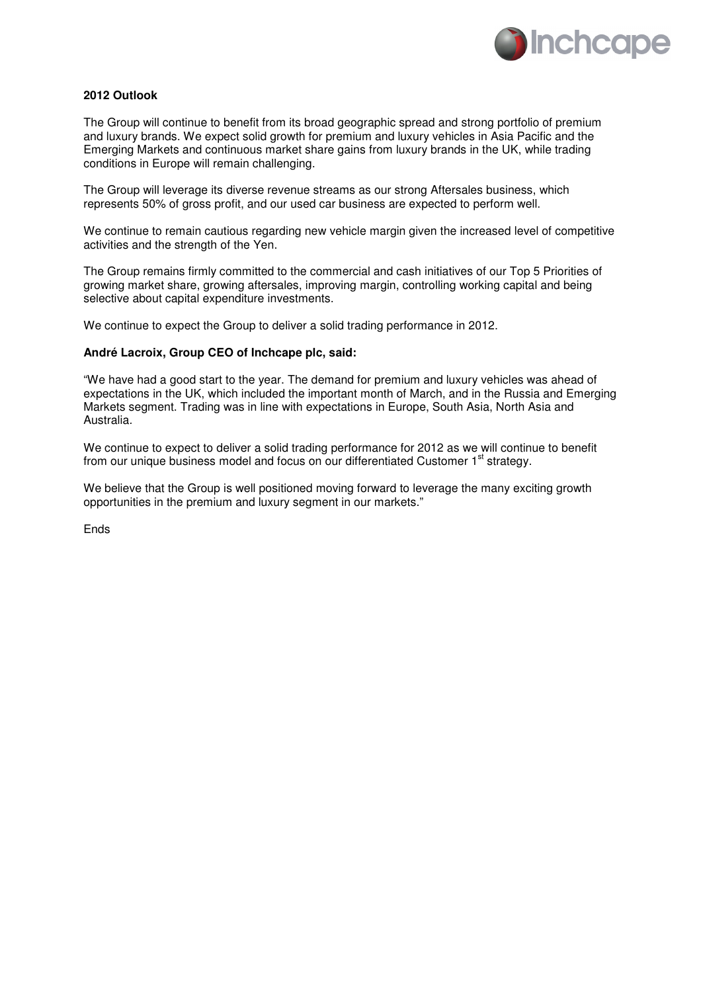

# **2012 Outlook**

The Group will continue to benefit from its broad geographic spread and strong portfolio of premium and luxury brands. We expect solid growth for premium and luxury vehicles in Asia Pacific and the Emerging Markets and continuous market share gains from luxury brands in the UK, while trading conditions in Europe will remain challenging.

The Group will leverage its diverse revenue streams as our strong Aftersales business, which represents 50% of gross profit, and our used car business are expected to perform well.

We continue to remain cautious regarding new vehicle margin given the increased level of competitive activities and the strength of the Yen.

The Group remains firmly committed to the commercial and cash initiatives of our Top 5 Priorities of growing market share, growing aftersales, improving margin, controlling working capital and being selective about capital expenditure investments.

We continue to expect the Group to deliver a solid trading performance in 2012.

## **André Lacroix, Group CEO of Inchcape plc, said:**

"We have had a good start to the year. The demand for premium and luxury vehicles was ahead of expectations in the UK, which included the important month of March, and in the Russia and Emerging Markets segment. Trading was in line with expectations in Europe, South Asia, North Asia and Australia.

We continue to expect to deliver a solid trading performance for 2012 as we will continue to benefit from our unique business model and focus on our differentiated Customer  $1<sup>st</sup>$  strategy.

We believe that the Group is well positioned moving forward to leverage the many exciting growth opportunities in the premium and luxury segment in our markets."

Ends